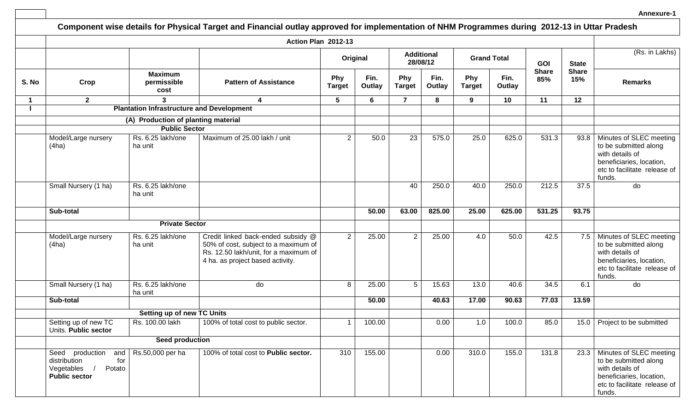|       |                                                                                               |                                       |                                                                                                                                                         |                      |                |                      |                |                      |                |                     |                     | Annexure-1                                                                                                                                |
|-------|-----------------------------------------------------------------------------------------------|---------------------------------------|---------------------------------------------------------------------------------------------------------------------------------------------------------|----------------------|----------------|----------------------|----------------|----------------------|----------------|---------------------|---------------------|-------------------------------------------------------------------------------------------------------------------------------------------|
|       |                                                                                               |                                       | Component wise details for Physical Target and Financial outlay approved for implementation of NHM Programmes during 2012-13 in Uttar Pradesh           |                      |                |                      |                |                      |                |                     |                     |                                                                                                                                           |
|       |                                                                                               |                                       | Action Plan 2012-13                                                                                                                                     |                      |                |                      |                |                      |                |                     |                     |                                                                                                                                           |
|       |                                                                                               |                                       |                                                                                                                                                         | Original             |                | <b>Additional</b>    | 28/08/12       | <b>Grand Total</b>   |                | <b>GOI</b>          | <b>State</b>        | (Rs. in Lakhs)                                                                                                                            |
| S. No | Crop                                                                                          | <b>Maximum</b><br>permissible<br>cost | <b>Pattern of Assistance</b>                                                                                                                            | Phy<br><b>Target</b> | Fin.<br>Outlay | Phy<br><b>Target</b> | Fin.<br>Outlay | Phy<br><b>Target</b> | Fin.<br>Outlay | <b>Share</b><br>85% | <b>Share</b><br>15% | <b>Remarks</b>                                                                                                                            |
| 1     | $\mathbf{2}$                                                                                  | 3                                     | 4                                                                                                                                                       | $5\phantom{.0}$      | 6              | $\overline{7}$       | 8              | 9                    | 10             | 11                  | 12                  |                                                                                                                                           |
|       |                                                                                               |                                       | <b>Plantation Infrastructure and Development</b>                                                                                                        |                      |                |                      |                |                      |                |                     |                     |                                                                                                                                           |
|       |                                                                                               | (A) Production of planting material   |                                                                                                                                                         |                      |                |                      |                |                      |                |                     |                     |                                                                                                                                           |
|       |                                                                                               | <b>Public Sector</b>                  |                                                                                                                                                         |                      |                |                      |                |                      |                |                     |                     |                                                                                                                                           |
|       | Model/Large nursery<br>(4ha)<br>ha unit                                                       | Rs. 6.25 lakh/one                     | Maximum of 25.00 lakh / unit                                                                                                                            | $\mathbf{2}$         | 50.0           | 23                   | 575.0          | 25.0                 | 625.0          | 531.3               | 93.8                | Minutes of SLEC meeting<br>to be submitted along<br>with details of<br>beneficiaries, location,<br>etc to facilitate release of<br>funds. |
|       | Small Nursery (1 ha)<br>ha unit                                                               | Rs. 6.25 lakh/one                     |                                                                                                                                                         |                      |                | 40                   | 250.0          | 40.0                 | 250.0          | 212.5               | 37.5                | do                                                                                                                                        |
|       | Sub-total                                                                                     |                                       |                                                                                                                                                         |                      | 50.00          | 63.00                | 825.00         | 25.00                | 625.00         | 531.25              | 93.75               |                                                                                                                                           |
|       |                                                                                               | <b>Private Sector</b>                 |                                                                                                                                                         |                      |                |                      |                |                      |                |                     |                     |                                                                                                                                           |
|       | Model/Large nursery<br>(4ha)<br>ha unit                                                       | Rs. 6.25 lakh/one                     | Credit linked back-ended subsidy @<br>50% of cost, subject to a maximum of<br>Rs. 12.50 lakh/unit, for a maximum of<br>4 ha. as project based activity. | 2                    | 25.00          | $\overline{2}$       | 25.00          | 4.0                  | 50.0           | 42.5                | 7.5                 | Minutes of SLEC meeting<br>to be submitted along<br>with details of<br>beneficiaries, location,<br>etc to facilitate release of<br>funds. |
|       | Small Nursery (1 ha)<br>ha unit                                                               | Rs. 6.25 lakh/one                     | do                                                                                                                                                      | 8                    | 25.00          | 5 <sup>5</sup>       | 15.63          | 13.0                 | 40.6           | 34.5                | 6.1                 | do                                                                                                                                        |
|       | Sub-total                                                                                     |                                       |                                                                                                                                                         |                      | 50.00          |                      | 40.63          | 17.00                | 90.63          | 77.03               | 13.59               |                                                                                                                                           |
|       |                                                                                               | Setting up of new TC Units            |                                                                                                                                                         |                      |                |                      |                |                      |                |                     |                     |                                                                                                                                           |
|       | Setting up of new TC<br>Units. Public sector                                                  | Rs. 100.00 lakh                       | 100% of total cost to public sector.                                                                                                                    | $\mathbf{1}$         | 100.00         |                      | 0.00           | 1.0                  | 100.0          | 85.0                | 15.0                | Project to be submitted                                                                                                                   |
|       |                                                                                               | Seed production                       |                                                                                                                                                         |                      |                |                      |                |                      |                |                     |                     |                                                                                                                                           |
|       | Seed production<br>and<br>for<br>distribution<br>Potato<br>Vegetables<br><b>Public sector</b> | Rs.50,000 per ha                      | 100% of total cost to Public sector.                                                                                                                    | 310                  | 155.00         |                      | 0.00           | 310.0                | 155.0          | 131.8               | 23.3                | Minutes of SLEC meeting<br>to be submitted along<br>with details of<br>beneficiaries, location,<br>etc to facilitate release of<br>funds. |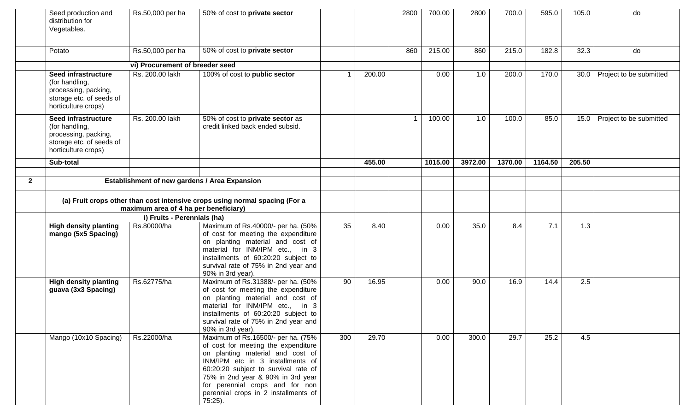|              | Seed production and<br>distribution for<br>Vegetables.                                                               | Rs.50,000 per ha                | 50% of cost to private sector                                                                                                                                                                                                                                                                                           |                 |        | 2800 | 700.00  | 2800    | 700.0   | 595.0   | 105.0  | do                      |
|--------------|----------------------------------------------------------------------------------------------------------------------|---------------------------------|-------------------------------------------------------------------------------------------------------------------------------------------------------------------------------------------------------------------------------------------------------------------------------------------------------------------------|-----------------|--------|------|---------|---------|---------|---------|--------|-------------------------|
|              | Potato                                                                                                               | Rs.50,000 per ha                | 50% of cost to private sector                                                                                                                                                                                                                                                                                           |                 |        | 860  | 215.00  | 860     | 215.0   | 182.8   | 32.3   | do                      |
|              |                                                                                                                      | vi) Procurement of breeder seed |                                                                                                                                                                                                                                                                                                                         |                 |        |      |         |         |         |         |        |                         |
|              | Seed infrastructure<br>(for handling,<br>processing, packing,<br>storage etc. of seeds of<br>horticulture crops)     | Rs. 200.00 lakh                 | 100% of cost to public sector                                                                                                                                                                                                                                                                                           | 1               | 200.00 |      | 0.00    | 1.0     | 200.0   | 170.0   | 30.0   | Project to be submitted |
|              | Seed infrastructure<br>(for handling,<br>processing, packing,<br>storage etc. of seeds of<br>horticulture crops)     | Rs. 200.00 lakh                 | 50% of cost to private sector as<br>credit linked back ended subsid.                                                                                                                                                                                                                                                    |                 |        |      | 100.00  | 1.0     | 100.0   | 85.0    | 15.0   | Project to be submitted |
|              | Sub-total                                                                                                            |                                 |                                                                                                                                                                                                                                                                                                                         |                 | 455.00 |      | 1015.00 | 3972.00 | 1370.00 | 1164.50 | 205.50 |                         |
|              |                                                                                                                      |                                 |                                                                                                                                                                                                                                                                                                                         |                 |        |      |         |         |         |         |        |                         |
| $\mathbf{2}$ |                                                                                                                      |                                 | Establishment of new gardens / Area Expansion                                                                                                                                                                                                                                                                           |                 |        |      |         |         |         |         |        |                         |
|              | (a) Fruit crops other than cost intensive crops using normal spacing (For a<br>maximum area of 4 ha per beneficiary) |                                 |                                                                                                                                                                                                                                                                                                                         |                 |        |      |         |         |         |         |        |                         |
|              |                                                                                                                      | i) Fruits - Perennials (ha)     |                                                                                                                                                                                                                                                                                                                         |                 |        |      |         |         |         |         |        |                         |
|              | <b>High density planting</b><br>mango (5x5 Spacing)                                                                  | Rs.80000/ha                     | Maximum of Rs.40000/- per ha. (50%<br>of cost for meeting the expenditure<br>on planting material and cost of<br>material for INM/IPM etc., in 3<br>installments of 60:20:20 subject to<br>survival rate of 75% in 2nd year and<br>90% in 3rd year).                                                                    | $\overline{35}$ | 8.40   |      | 0.00    | 35.0    | 8.4     | 7.1     | 1.3    |                         |
|              | <b>High density planting</b><br>guava (3x3 Spacing)                                                                  | Rs.62775/ha                     | Maximum of Rs.31388/- per ha. (50%<br>of cost for meeting the expenditure<br>on planting material and cost of<br>material for INM/IPM etc., in 3<br>installments of 60:20:20 subject to<br>survival rate of 75% in 2nd year and<br>90% in 3rd year).                                                                    | 90              | 16.95  |      | 0.00    | 90.0    | 16.9    | 14.4    | 2.5    |                         |
|              | Mango (10x10 Spacing)                                                                                                | Rs.22000/ha                     | Maximum of Rs.16500/- per ha. (75%<br>of cost for meeting the expenditure<br>on planting material and cost of<br>INM/IPM etc in 3 installments of<br>60:20:20 subject to survival rate of<br>75% in 2nd year & 90% in 3rd year<br>for perennial crops and for non<br>perennial crops in 2 installments of<br>$75:25$ ). | 300             | 29.70  |      | 0.00    | 300.0   | 29.7    | 25.2    | 4.5    |                         |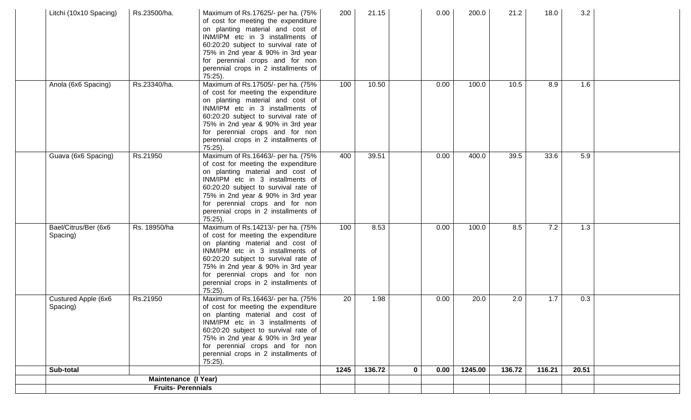| Litchi (10x10 Spacing)           | Rs.23500/ha.             | Maximum of Rs.17625/- per ha. (75%<br>of cost for meeting the expenditure<br>on planting material and cost of<br>INM/IPM etc in 3 installments of<br>60:20:20 subject to survival rate of<br>75% in 2nd year & 90% in 3rd year<br>for perennial crops and for non<br>perennial crops in 2 installments of<br>$75:25$ ). | 200  | 21.15                  | 0.00 | 200.0   | 21.2   | 18.0   | 3.2   |  |
|----------------------------------|--------------------------|-------------------------------------------------------------------------------------------------------------------------------------------------------------------------------------------------------------------------------------------------------------------------------------------------------------------------|------|------------------------|------|---------|--------|--------|-------|--|
| Anola (6x6 Spacing)              | Rs.23340/ha.             | Maximum of Rs.17505/- per ha. (75%<br>of cost for meeting the expenditure<br>on planting material and cost of<br>INM/IPM etc in 3 installments of<br>60:20:20 subject to survival rate of<br>75% in 2nd year & 90% in 3rd year<br>for perennial crops and for non<br>perennial crops in 2 installments of<br>$75:25$ ). | 100  | 10.50                  | 0.00 | 100.0   | 10.5   | 8.9    | 1.6   |  |
| Guava (6x6 Spacing)              | Rs.21950                 | Maximum of Rs.16463/- per ha. (75%<br>of cost for meeting the expenditure<br>on planting material and cost of<br>INM/IPM etc in 3 installments of<br>60:20:20 subject to survival rate of<br>75% in 2nd year & 90% in 3rd year<br>for perennial crops and for non<br>perennial crops in 2 installments of<br>$75:25$ ). | 400  | 39.51                  | 0.00 | 400.0   | 39.5   | 33.6   | 5.9   |  |
| Bael/Citrus/Ber (6x6<br>Spacing) | Rs. 18950/ha             | Maximum of Rs.14213/- per ha. (75%<br>of cost for meeting the expenditure<br>on planting material and cost of<br>INM/IPM etc in 3 installments of<br>60:20:20 subject to survival rate of<br>75% in 2nd year & 90% in 3rd year<br>for perennial crops and for non<br>perennial crops in 2 installments of<br>$75:25$ ). | 100  | 8.53                   | 0.00 | 100.0   | 8.5    | 7.2    | 1.3   |  |
| Custured Apple (6x6<br>Spacing)  | Rs.21950                 | Maximum of Rs.16463/- per ha. (75%<br>of cost for meeting the expenditure<br>on planting material and cost of<br>INM/IPM etc in 3 installments of<br>60:20:20 subject to survival rate of<br>75% in 2nd year & 90% in 3rd year<br>for perennial crops and for non<br>perennial crops in 2 installments of<br>$75:25$ ). | 20   | 1.98                   | 0.00 | 20.0    | 2.0    | 1.7    | 0.3   |  |
| Sub-total                        |                          |                                                                                                                                                                                                                                                                                                                         | 1245 | 136.72<br>$\mathbf{0}$ | 0.00 | 1245.00 | 136.72 | 116.21 | 20.51 |  |
|                                  | Maintenance (I Year)     |                                                                                                                                                                                                                                                                                                                         |      |                        |      |         |        |        |       |  |
|                                  | <b>Fruits-Perennials</b> |                                                                                                                                                                                                                                                                                                                         |      |                        |      |         |        |        |       |  |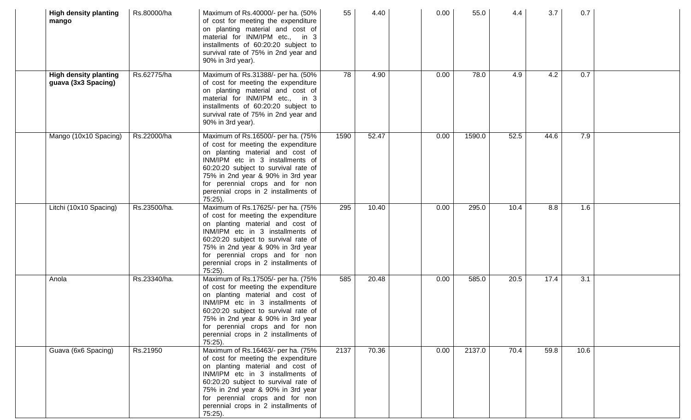| <b>High density planting</b><br>mango               | Rs.80000/ha  | Maximum of Rs.40000/- per ha. (50%<br>of cost for meeting the expenditure<br>on planting material and cost of<br>material for INM/IPM etc., in 3<br>installments of 60:20:20 subject to<br>survival rate of 75% in 2nd year and<br>90% in 3rd year).                                                                    | 55   | 4.40  | 0.00 | 55.0   | 4.4  | 3.7  | 0.7  |  |
|-----------------------------------------------------|--------------|-------------------------------------------------------------------------------------------------------------------------------------------------------------------------------------------------------------------------------------------------------------------------------------------------------------------------|------|-------|------|--------|------|------|------|--|
| <b>High density planting</b><br>guava (3x3 Spacing) | Rs.62775/ha  | Maximum of Rs.31388/- per ha. (50%<br>of cost for meeting the expenditure<br>on planting material and cost of<br>material for INM/IPM etc., in 3<br>installments of 60:20:20 subject to<br>survival rate of 75% in 2nd year and<br>90% in 3rd year).                                                                    | 78   | 4.90  | 0.00 | 78.0   | 4.9  | 4.2  | 0.7  |  |
| Mango (10x10 Spacing)                               | Rs.22000/ha  | Maximum of Rs.16500/- per ha. (75%<br>of cost for meeting the expenditure<br>on planting material and cost of<br>INM/IPM etc in 3 installments of<br>60:20:20 subject to survival rate of<br>75% in 2nd year & 90% in 3rd year<br>for perennial crops and for non<br>perennial crops in 2 installments of<br>$75:25$ ). | 1590 | 52.47 | 0.00 | 1590.0 | 52.5 | 44.6 | 7.9  |  |
| Litchi (10x10 Spacing)                              | Rs.23500/ha. | Maximum of Rs.17625/- per ha. (75%<br>of cost for meeting the expenditure<br>on planting material and cost of<br>INM/IPM etc in 3 installments of<br>60:20:20 subject to survival rate of<br>75% in 2nd year & 90% in 3rd year<br>for perennial crops and for non<br>perennial crops in 2 installments of<br>$75:25$ ). | 295  | 10.40 | 0.00 | 295.0  | 10.4 | 8.8  | 1.6  |  |
| Anola                                               | Rs.23340/ha. | Maximum of Rs.17505/- per ha. (75%<br>of cost for meeting the expenditure<br>on planting material and cost of<br>INM/IPM etc in 3 installments of<br>60:20:20 subject to survival rate of<br>75% in 2nd year & 90% in 3rd year<br>for perennial crops and for non<br>perennial crops in 2 installments of<br>$75:25$ ). | 585  | 20.48 | 0.00 | 585.0  | 20.5 | 17.4 | 3.1  |  |
| Guava (6x6 Spacing)                                 | Rs.21950     | Maximum of Rs.16463/- per ha. (75%<br>of cost for meeting the expenditure<br>on planting material and cost of<br>INM/IPM etc in 3 installments of<br>60:20:20 subject to survival rate of<br>75% in 2nd year & 90% in 3rd year<br>for perennial crops and for non<br>perennial crops in 2 installments of<br>$75:25$ ). | 2137 | 70.36 | 0.00 | 2137.0 | 70.4 | 59.8 | 10.6 |  |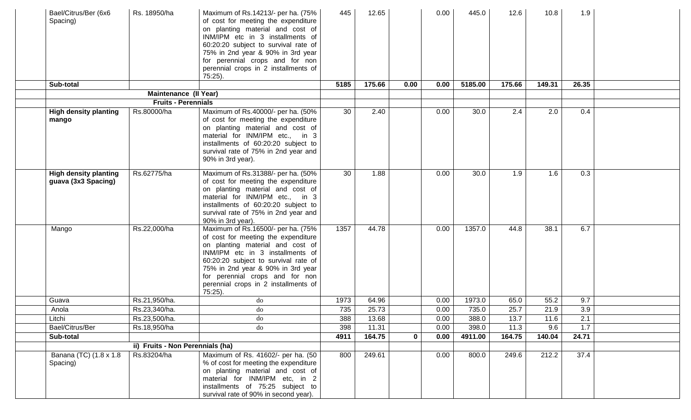| Bael/Citrus/Ber (6x6<br>Spacing)                    | Rs. 18950/ha                     | Maximum of Rs.14213/- per ha. (75%<br>of cost for meeting the expenditure<br>on planting material and cost of<br>INM/IPM etc in 3 installments of<br>60:20:20 subject to survival rate of<br>75% in 2nd year & 90% in 3rd year<br>for perennial crops and for non<br>perennial crops in 2 installments of<br>$75:25$ ). | 445  | 12.65  |              | 0.00 | 445.0   | 12.6   | 10.8   | 1.9   |  |
|-----------------------------------------------------|----------------------------------|-------------------------------------------------------------------------------------------------------------------------------------------------------------------------------------------------------------------------------------------------------------------------------------------------------------------------|------|--------|--------------|------|---------|--------|--------|-------|--|
| Sub-total                                           |                                  |                                                                                                                                                                                                                                                                                                                         | 5185 | 175.66 | 0.00         | 0.00 | 5185.00 | 175.66 | 149.31 | 26.35 |  |
|                                                     | <b>Maintenance (II Year)</b>     |                                                                                                                                                                                                                                                                                                                         |      |        |              |      |         |        |        |       |  |
|                                                     | <b>Fruits - Perennials</b>       |                                                                                                                                                                                                                                                                                                                         |      |        |              |      |         |        |        |       |  |
| <b>High density planting</b><br>mango               | Rs.80000/ha                      | Maximum of Rs.40000/- per ha. (50%<br>of cost for meeting the expenditure<br>on planting material and cost of<br>material for INM/IPM etc., in 3<br>installments of 60:20:20 subject to<br>survival rate of 75% in 2nd year and<br>90% in 3rd year).                                                                    | 30   | 2.40   |              | 0.00 | 30.0    | 2.4    | 2.0    | 0.4   |  |
| <b>High density planting</b><br>guava (3x3 Spacing) | Rs.62775/ha                      | Maximum of Rs.31388/- per ha. (50%<br>of cost for meeting the expenditure<br>on planting material and cost of<br>material for INM/IPM etc., in 3<br>installments of 60:20:20 subject to<br>survival rate of 75% in 2nd year and<br>90% in 3rd year).                                                                    | 30   | 1.88   |              | 0.00 | 30.0    | 1.9    | 1.6    | 0.3   |  |
| Mango                                               | Rs.22,000/ha                     | Maximum of Rs.16500/- per ha. (75%<br>of cost for meeting the expenditure<br>on planting material and cost of<br>INM/IPM etc in 3 installments of<br>60:20:20 subject to survival rate of<br>75% in 2nd year & 90% in 3rd year<br>for perennial crops and for non<br>perennial crops in 2 installments of<br>$75:25$ ). | 1357 | 44.78  |              | 0.00 | 1357.0  | 44.8   | 38.1   | 6.7   |  |
| Guava                                               | Rs.21,950/ha.                    | do                                                                                                                                                                                                                                                                                                                      | 1973 | 64.96  |              | 0.00 | 1973.0  | 65.0   | 55.2   | 9.7   |  |
| Anola                                               | Rs.23,340/ha.                    | do                                                                                                                                                                                                                                                                                                                      | 735  | 25.73  |              | 0.00 | 735.0   | 25.7   | 21.9   | 3.9   |  |
| Litchi                                              | Rs.23,500/ha.                    | do                                                                                                                                                                                                                                                                                                                      | 388  | 13.68  |              | 0.00 | 388.0   | 13.7   | 11.6   | 2.1   |  |
| Bael/Citrus/Ber                                     | Rs.18,950/ha                     | $d$ o                                                                                                                                                                                                                                                                                                                   | 398  | 11.31  |              | 0.00 | 398.0   | 11.3   | 9.6    | 1.7   |  |
| Sub-total                                           |                                  |                                                                                                                                                                                                                                                                                                                         | 4911 | 164.75 | $\mathbf{0}$ | 0.00 | 4911.00 | 164.75 | 140.04 | 24.71 |  |
|                                                     | ii) Fruits - Non Perennials (ha) |                                                                                                                                                                                                                                                                                                                         |      |        |              |      |         |        |        |       |  |
| Banana (TC) (1.8 x 1.8<br>Spacing)                  | Rs.83204/ha                      | Maximum of Rs. 41602/- per ha. (50<br>% of cost for meeting the expenditure<br>on planting material and cost of<br>material for INM/IPM etc, in 2<br>installments of 75:25 subject to<br>survival rate of 90% in second year).                                                                                          | 800  | 249.61 |              | 0.00 | 800.0   | 249.6  | 212.2  | 37.4  |  |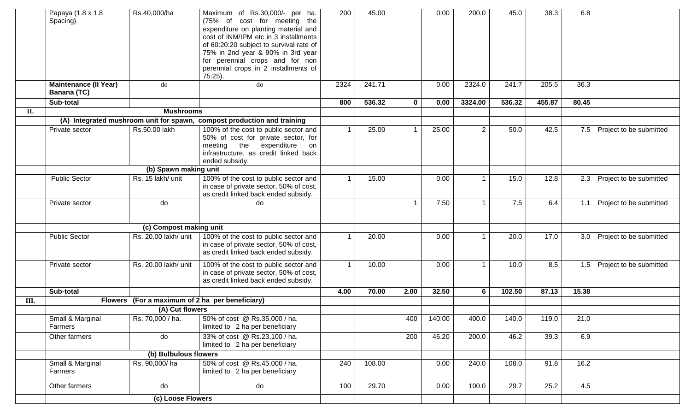|     | Papaya (1.8 x 1.8<br>Spacing)                      | Rs.40,000/ha                                    | Maximum of Rs.30,000/- per ha.<br>(75% of cost for meeting the<br>expenditure on planting material and<br>cost of INM/IPM etc in 3 installments<br>of 60:20:20 subject to survival rate of<br>75% in 2nd year & 90% in 3rd year<br>for perennial crops and for non<br>perennial crops in 2 installments of<br>75:25). | 200  | 45.00  |              | 0.00   | 200.0          | 45.0   | 38.3   | 6.8   |                         |
|-----|----------------------------------------------------|-------------------------------------------------|-----------------------------------------------------------------------------------------------------------------------------------------------------------------------------------------------------------------------------------------------------------------------------------------------------------------------|------|--------|--------------|--------|----------------|--------|--------|-------|-------------------------|
|     | <b>Maintenance (II Year)</b><br><b>Banana (TC)</b> | do                                              | do                                                                                                                                                                                                                                                                                                                    | 2324 | 241.71 |              | 0.00   | 2324.0         | 241.7  | 205.5  | 36.3  |                         |
|     | Sub-total                                          |                                                 |                                                                                                                                                                                                                                                                                                                       | 800  | 536.32 | $\mathbf{0}$ | 0.00   | 3324.00        | 536.32 | 455.87 | 80.45 |                         |
| II. |                                                    | <b>Mushrooms</b>                                |                                                                                                                                                                                                                                                                                                                       |      |        |              |        |                |        |        |       |                         |
|     |                                                    |                                                 | (A) Integrated mushroom unit for spawn, compost production and training                                                                                                                                                                                                                                               |      |        |              |        |                |        |        |       |                         |
|     | Private sector                                     | Rs.50.00 lakh                                   | 100% of the cost to public sector and<br>50% of cost for private sector, for<br>meeting<br>the<br>expenditure<br>on<br>infrastructure, as credit linked back<br>ended subsidy.                                                                                                                                        |      | 25.00  |              | 25.00  | $\overline{2}$ | 50.0   | 42.5   | 7.5   | Project to be submitted |
|     |                                                    | (b) Spawn making unit                           |                                                                                                                                                                                                                                                                                                                       |      |        |              |        |                |        |        |       |                         |
|     | <b>Public Sector</b>                               | Rs. 15 lakh/ unit                               | 100% of the cost to public sector and<br>in case of private sector, 50% of cost,<br>as credit linked back ended subsidy.                                                                                                                                                                                              |      | 15.00  |              | 0.00   |                | 15.0   | 12.8   | 2.3   | Project to be submitted |
|     | Private sector                                     | do                                              | do                                                                                                                                                                                                                                                                                                                    |      |        |              | 7.50   |                | 7.5    | 6.4    | 1.1   | Project to be submitted |
|     |                                                    | (c) Compost making unit                         |                                                                                                                                                                                                                                                                                                                       |      |        |              |        |                |        |        |       |                         |
|     | <b>Public Sector</b>                               | Rs. 20.00 lakh/ unit                            | 100% of the cost to public sector and<br>in case of private sector, 50% of cost,<br>as credit linked back ended subsidy.                                                                                                                                                                                              |      | 20.00  |              | 0.00   | -1             | 20.0   | 17.0   | 3.0   | Project to be submitted |
|     | Private sector                                     | Rs. 20.00 lakh/ unit                            | 100% of the cost to public sector and<br>in case of private sector, 50% of cost,<br>as credit linked back ended subsidy.                                                                                                                                                                                              |      | 10.00  |              | 0.00   |                | 10.0   | 8.5    | 1.5   | Project to be submitted |
|     | Sub-total                                          |                                                 |                                                                                                                                                                                                                                                                                                                       | 4.00 | 70.00  | 2.00         | 32.50  | 6              | 102.50 | 87.13  | 15.38 |                         |
| Ш.  |                                                    | Flowers (For a maximum of 2 ha per beneficiary) |                                                                                                                                                                                                                                                                                                                       |      |        |              |        |                |        |        |       |                         |
|     |                                                    | (A) Cut flowers                                 |                                                                                                                                                                                                                                                                                                                       |      |        |              |        |                |        |        |       |                         |
|     | Small & Marginal<br>Farmers                        | Rs. 70,000 / ha.                                | 50% of cost @ Rs.35,000 / ha.<br>limited to 2 ha per beneficiary                                                                                                                                                                                                                                                      |      |        | 400          | 140.00 | 400.0          | 140.0  | 119.0  | 21.0  |                         |
|     | Other farmers                                      | do                                              | 33% of cost @ Rs.23,100 / ha.<br>limited to 2 ha per beneficiary                                                                                                                                                                                                                                                      |      |        | 200          | 46.20  | 200.0          | 46.2   | 39.3   | 6.9   |                         |
|     |                                                    | (b) Bulbulous flowers                           |                                                                                                                                                                                                                                                                                                                       |      |        |              |        |                |        |        |       |                         |
|     | Small & Marginal<br>Farmers                        | Rs. 90,000/ha                                   | 50% of cost @ Rs.45,000 / ha.<br>limited to 2 ha per beneficiary                                                                                                                                                                                                                                                      | 240  | 108.00 |              | 0.00   | 240.0          | 108.0  | 91.8   | 16.2  |                         |
|     | Other farmers                                      | do                                              | do                                                                                                                                                                                                                                                                                                                    | 100  | 29.70  |              | 0.00   | 100.0          | 29.7   | 25.2   | 4.5   |                         |
|     |                                                    | (c) Loose Flowers                               |                                                                                                                                                                                                                                                                                                                       |      |        |              |        |                |        |        |       |                         |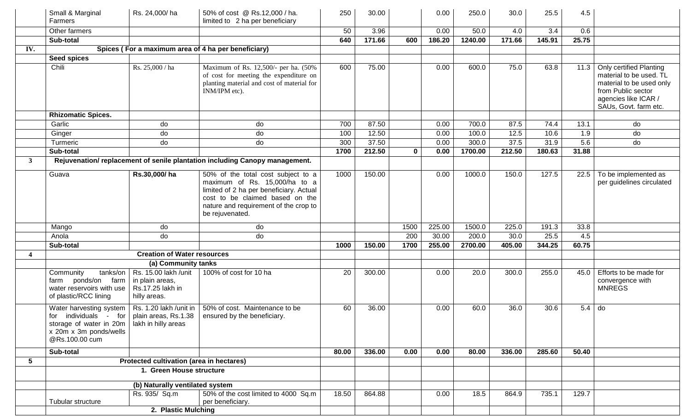|              | Small & Marginal<br>Farmers                                                                                                                     | Rs. 24,000/ha                                                               | 50% of cost @ Rs.12,000 / ha.<br>limited to 2 ha per beneficiary                                                                                                                                              | 250   | 30.00  |             | 0.00   | 250.0   | 30.0   | 25.5   | 4.5      |                                                                                                                                                       |
|--------------|-------------------------------------------------------------------------------------------------------------------------------------------------|-----------------------------------------------------------------------------|---------------------------------------------------------------------------------------------------------------------------------------------------------------------------------------------------------------|-------|--------|-------------|--------|---------|--------|--------|----------|-------------------------------------------------------------------------------------------------------------------------------------------------------|
|              | Other farmers                                                                                                                                   |                                                                             |                                                                                                                                                                                                               | 50    | 3.96   |             | 0.00   | 50.0    | 4.0    | 3.4    | 0.6      |                                                                                                                                                       |
|              | Sub-total                                                                                                                                       |                                                                             |                                                                                                                                                                                                               | 640   | 171.66 | 600         | 186.20 | 1240.00 | 171.66 | 145.91 | 25.75    |                                                                                                                                                       |
| IV.          |                                                                                                                                                 |                                                                             | Spices (For a maximum area of 4 ha per beneficiary)                                                                                                                                                           |       |        |             |        |         |        |        |          |                                                                                                                                                       |
|              | <b>Seed spices</b>                                                                                                                              |                                                                             |                                                                                                                                                                                                               |       |        |             |        |         |        |        |          |                                                                                                                                                       |
|              | Chili                                                                                                                                           | Rs. 25,000 / ha                                                             | Maximum of Rs. 12,500/- per ha. (50%<br>of cost for meeting the expenditure on<br>planting material and cost of material for<br>INM/IPM etc).                                                                 | 600   | 75.00  |             | 0.00   | 600.0   | 75.0   | 63.8   | 11.3     | Only certified Planting<br>material to be used. TL<br>material to be used only<br>from Public sector<br>agencies like ICAR /<br>SAUs, Govt. farm etc. |
|              | <b>Rhizomatic Spices.</b>                                                                                                                       |                                                                             |                                                                                                                                                                                                               |       |        |             |        |         |        |        |          |                                                                                                                                                       |
|              | Garlic                                                                                                                                          | do                                                                          | do                                                                                                                                                                                                            | 700   | 87.50  |             | 0.00   | 700.0   | 87.5   | 74.4   | 13.1     | do                                                                                                                                                    |
|              | Ginger                                                                                                                                          | do                                                                          | do                                                                                                                                                                                                            | 100   | 12.50  |             | 0.00   | 100.0   | 12.5   | 10.6   | 1.9      | do                                                                                                                                                    |
|              | Turmeric                                                                                                                                        | do                                                                          | do                                                                                                                                                                                                            | 300   | 37.50  |             | 0.00   | 300.0   | 37.5   | 31.9   | 5.6      | do                                                                                                                                                    |
|              | Sub-total                                                                                                                                       |                                                                             |                                                                                                                                                                                                               | 1700  | 212.50 | $\mathbf 0$ | 0.00   | 1700.00 | 212.50 | 180.63 | 31.88    |                                                                                                                                                       |
| $\mathbf{3}$ |                                                                                                                                                 |                                                                             | Rejuvenation/replacement of senile plantation including Canopy management.                                                                                                                                    |       |        |             |        |         |        |        |          |                                                                                                                                                       |
|              | Guava                                                                                                                                           | Rs.30,000/ha                                                                | 50% of the total cost subject to a<br>maximum of Rs. 15,000/ha to a<br>limited of 2 ha per beneficiary. Actual<br>cost to be claimed based on the<br>nature and requirement of the crop to<br>be rejuvenated. | 1000  | 150.00 |             | 0.00   | 1000.0  | 150.0  | 127.5  | 22.5     | To be implemented as<br>per guidelines circulated                                                                                                     |
|              | Mango                                                                                                                                           | do                                                                          | do                                                                                                                                                                                                            |       |        | 1500        | 225.00 | 1500.0  | 225.0  | 191.3  | 33.8     |                                                                                                                                                       |
|              | Anola                                                                                                                                           | do                                                                          | do                                                                                                                                                                                                            |       |        | 200         | 30.00  | 200.0   | 30.0   | 25.5   | 4.5      |                                                                                                                                                       |
|              | Sub-total                                                                                                                                       |                                                                             |                                                                                                                                                                                                               | 1000  | 150.00 | 1700        | 255.00 | 2700.00 | 405.00 | 344.25 | 60.75    |                                                                                                                                                       |
|              |                                                                                                                                                 | <b>Creation of Water resources</b>                                          |                                                                                                                                                                                                               |       |        |             |        |         |        |        |          |                                                                                                                                                       |
|              |                                                                                                                                                 | (a) Community tanks                                                         |                                                                                                                                                                                                               |       |        |             |        |         |        |        |          |                                                                                                                                                       |
|              | Community<br>tanks/on<br>farm ponds/on farm<br>water reservoirs with use<br>of plastic/RCC lining                                               | Rs. 15.00 lakh /unit<br>in plain areas,<br>Rs.17.25 lakh in<br>hilly areas. | 100% of cost for 10 ha                                                                                                                                                                                        | 20    | 300.00 |             | 0.00   | 20.0    | 300.0  | 255.0  | 45.0     | Efforts to be made for<br>convergence with<br><b>MNREGS</b>                                                                                           |
|              | for individuals - for $\vert$ plain areas, Rs.1.38<br>storage of water in 20m   lakh in hilly areas<br>x 20m x 3m ponds/wells<br>@Rs.100.00 cum |                                                                             | Water harvesting system   Rs. 1.20 lakh /unit in   50% of cost. Maintenance to be<br>ensured by the beneficiary.                                                                                              | 60    | 36.00  |             | 0.00   | 60.0    | 36.0   | 30.6   | $5.4$ do |                                                                                                                                                       |
|              | Sub-total                                                                                                                                       |                                                                             |                                                                                                                                                                                                               | 80.00 | 336.00 | 0.00        | 0.00   | 80.00   | 336.00 | 285.60 | 50.40    |                                                                                                                                                       |
| 5            |                                                                                                                                                 | Protected cultivation (area in hectares)                                    |                                                                                                                                                                                                               |       |        |             |        |         |        |        |          |                                                                                                                                                       |
|              |                                                                                                                                                 |                                                                             |                                                                                                                                                                                                               |       |        |             |        |         |        |        |          |                                                                                                                                                       |
|              |                                                                                                                                                 |                                                                             |                                                                                                                                                                                                               |       |        |             |        |         |        |        |          |                                                                                                                                                       |
|              |                                                                                                                                                 |                                                                             |                                                                                                                                                                                                               |       |        |             |        |         |        |        |          |                                                                                                                                                       |
|              | Tubular structure                                                                                                                               | Rs. 935/ Sq.m                                                               | 50% of the cost limited to 4000 Sq.m<br>per beneficiary.                                                                                                                                                      | 18.50 | 864.88 |             | 0.00   | 18.5    | 864.9  | 735.1  | 129.7    |                                                                                                                                                       |
|              |                                                                                                                                                 | 2. Plastic Mulching                                                         |                                                                                                                                                                                                               |       |        |             |        |         |        |        |          |                                                                                                                                                       |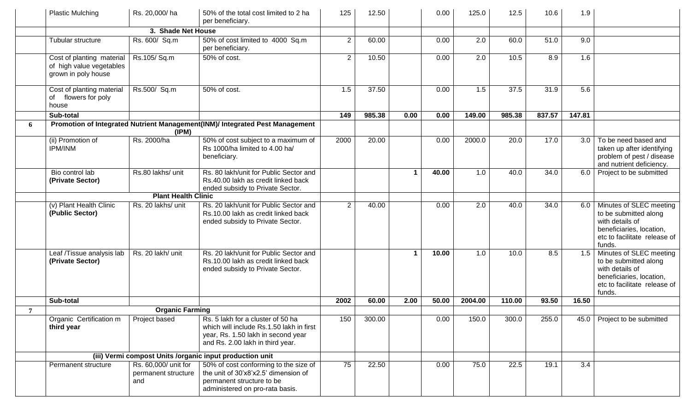|                | <b>Plastic Mulching</b>                                                      | Rs. 20,000/ha                                      | 50% of the total cost limited to 2 ha<br>per beneficiary.                                                                                               | 125            | 12.50  |                      | 0.00  | 125.0   | 12.5   | 10.6   | 1.9    |                                                                                                                                               |
|----------------|------------------------------------------------------------------------------|----------------------------------------------------|---------------------------------------------------------------------------------------------------------------------------------------------------------|----------------|--------|----------------------|-------|---------|--------|--------|--------|-----------------------------------------------------------------------------------------------------------------------------------------------|
|                |                                                                              | 3. Shade Net House                                 |                                                                                                                                                         |                |        |                      |       |         |        |        |        |                                                                                                                                               |
|                | Tubular structure                                                            | Rs. 600/ Sq.m                                      | 50% of cost limited to 4000 Sq.m<br>per beneficiary.                                                                                                    | $\sqrt{2}$     | 60.00  |                      | 0.00  | 2.0     | 60.0   | 51.0   | 9.0    |                                                                                                                                               |
|                | Cost of planting material<br>of high value vegetables<br>grown in poly house | Rs.105/Sq.m                                        | 50% of cost.                                                                                                                                            | $\mathbf{2}$   | 10.50  |                      | 0.00  | 2.0     | 10.5   | 8.9    | 1.6    |                                                                                                                                               |
|                | Cost of planting material<br>of<br>flowers for poly<br>house                 | Rs.500/ Sq.m                                       | 50% of cost.                                                                                                                                            | 1.5            | 37.50  |                      | 0.00  | 1.5     | 37.5   | 31.9   | 5.6    |                                                                                                                                               |
|                | Sub-total                                                                    |                                                    |                                                                                                                                                         | 149            | 985.38 | 0.00                 | 0.00  | 149.00  | 985.38 | 837.57 | 147.81 |                                                                                                                                               |
| 6              |                                                                              | (IPM)                                              | Promotion of Integrated Nutrient Management(INM)/ Integrated Pest Management                                                                            |                |        |                      |       |         |        |        |        |                                                                                                                                               |
|                | (ii) Promotion of<br><b>IPM/INM</b>                                          | Rs. 2000/ha                                        | 50% of cost subject to a maximum of<br>Rs 1000/ha limited to 4.00 ha/<br>beneficiary.                                                                   | 2000           | 20.00  |                      | 0.00  | 2000.0  | 20.0   | 17.0   |        | 3.0   To be need based and<br>taken up after identifying<br>problem of pest / disease<br>and nutrient deficiency.                             |
|                | Bio control lab<br>(Private Sector)                                          | Rs.80 lakhs/ unit                                  | Rs. 80 lakh/unit for Public Sector and<br>Rs.40.00 lakh as credit linked back<br>ended subsidy to Private Sector.                                       |                |        | $\blacktriangleleft$ | 40.00 | 1.0     | 40.0   | 34.0   |        | 6.0 Project to be submitted                                                                                                                   |
|                |                                                                              | <b>Plant Health Clinic</b>                         |                                                                                                                                                         |                |        |                      |       |         |        |        |        |                                                                                                                                               |
|                | (v) Plant Health Clinic<br>(Public Sector)                                   | Rs. 20 lakhs/ unit                                 | Rs. 20 lakh/unit for Public Sector and<br>Rs.10.00 lakh as credit linked back<br>ended subsidy to Private Sector.                                       | $\overline{2}$ | 40.00  |                      | 0.00  | 2.0     | 40.0   | 34.0   |        | 6.0 Minutes of SLEC meeting<br>to be submitted along<br>with details of<br>beneficiaries, location,<br>etc to facilitate release of<br>funds. |
|                | Leaf /Tissue analysis lab<br>(Private Sector)                                | Rs. 20 lakh/ unit                                  | Rs. 20 lakh/unit for Public Sector and<br>Rs.10.00 lakh as credit linked back<br>ended subsidy to Private Sector.                                       |                |        | $\blacktriangleleft$ | 10.00 | 1.0     | 10.0   | 8.5    | 1.5    | Minutes of SLEC meeting<br>to be submitted along<br>with details of<br>beneficiaries, location,<br>etc to facilitate release of<br>funds.     |
|                | Sub-total                                                                    |                                                    |                                                                                                                                                         | 2002           | 60.00  | 2.00                 | 50.00 | 2004.00 | 110.00 | 93.50  | 16.50  |                                                                                                                                               |
| $\overline{7}$ |                                                                              | <b>Organic Farming</b>                             |                                                                                                                                                         |                |        |                      |       |         |        |        |        |                                                                                                                                               |
|                | Organic Certification m<br>third year                                        | Project based                                      | Rs. 5 lakh for a cluster of 50 ha<br>which will include Rs.1.50 lakh in first<br>year, Rs. 1.50 lakh in second year<br>and Rs. 2.00 lakh in third year. | 150            | 300.00 |                      | 0.00  | 150.0   | 300.0  | 255.0  |        | 45.0   Project to be submitted                                                                                                                |
|                |                                                                              |                                                    | (iii) Vermi compost Units /organic input production unit                                                                                                |                |        |                      |       |         |        |        |        |                                                                                                                                               |
|                | Permanent structure                                                          | Rs. 60,000/ unit for<br>permanent structure<br>and | 50% of cost conforming to the size of<br>the unit of 30'x8'x2.5' dimension of<br>permanent structure to be<br>administered on pro-rata basis.           | 75             | 22.50  |                      | 0.00  | 75.0    | 22.5   | 19.1   | 3.4    |                                                                                                                                               |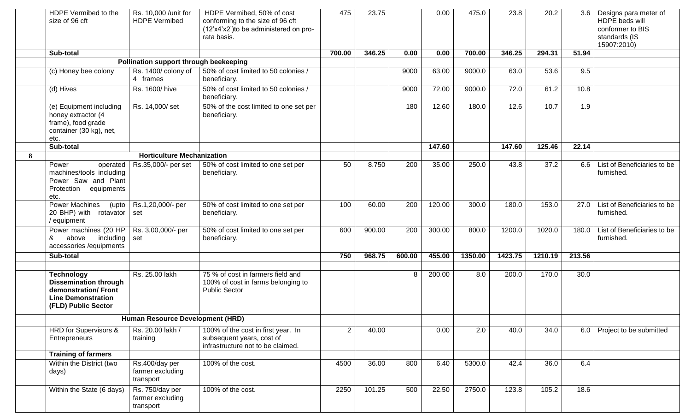|   | HDPE Vermibed to the<br>size of 96 cft                                                                                       | Rs. 10,000 / unit for<br><b>HDPE Vermibed</b>    | HDPE Vermibed, 50% of cost<br>conforming to the size of 96 cft<br>(12'x4'x2') to be administered on pro-<br>rata basis. | 475            | 23.75  |        | 0.00   | 475.0   | 23.8    | 20.2    |        | 3.6   Designs para meter of<br>HDPE beds will<br>conformer to BIS<br>standards (IS<br>15907:2010) |
|---|------------------------------------------------------------------------------------------------------------------------------|--------------------------------------------------|-------------------------------------------------------------------------------------------------------------------------|----------------|--------|--------|--------|---------|---------|---------|--------|---------------------------------------------------------------------------------------------------|
|   | Sub-total                                                                                                                    |                                                  |                                                                                                                         | 700.00         | 346.25 | 0.00   | 0.00   | 700.00  | 346.25  | 294.31  | 51.94  |                                                                                                   |
|   |                                                                                                                              | Pollination support through beekeeping           |                                                                                                                         |                |        |        |        |         |         |         |        |                                                                                                   |
|   | (c) Honey bee colony                                                                                                         | Rs. 1400/ colony of<br>4 frames                  | 50% of cost limited to 50 colonies /<br>beneficiary.                                                                    |                |        | 9000   | 63.00  | 9000.0  | 63.0    | 53.6    | 9.5    |                                                                                                   |
|   | $(d)$ Hives                                                                                                                  | Rs. 1600/hive                                    | 50% of cost limited to 50 colonies /<br>beneficiary.                                                                    |                |        | 9000   | 72.00  | 9000.0  | 72.0    | 61.2    | 10.8   |                                                                                                   |
|   | (e) Equipment including<br>honey extractor (4<br>frame), food grade<br>container (30 kg), net,<br>etc.                       | Rs. 14,000/set                                   | 50% of the cost limited to one set per<br>beneficiary.                                                                  |                |        | 180    | 12.60  | 180.0   | 12.6    | 10.7    | 1.9    |                                                                                                   |
|   | Sub-total                                                                                                                    |                                                  |                                                                                                                         |                |        |        | 147.60 |         | 147.60  | 125.46  | 22.14  |                                                                                                   |
| 8 |                                                                                                                              | <b>Horticulture Mechanization</b>                |                                                                                                                         |                |        |        |        |         |         |         |        |                                                                                                   |
|   | Power<br>operated<br>machines/tools including<br>Power Saw and Plant<br>Protection equipments<br>etc.                        | Rs.35,000/- per set                              | 50% of cost limited to one set per<br>beneficiary.                                                                      | 50             | 8.750  | 200    | 35.00  | 250.0   | 43.8    | 37.2    | 6.6    | List of Beneficiaries to be<br>furnished.                                                         |
|   | <b>Power Machines</b><br>(upto<br>20 BHP) with rotavator<br>/ equipment                                                      | Rs.1,20,000/- per<br>set                         | 50% of cost limited to one set per<br>beneficiary.                                                                      | 100            | 60.00  | 200    | 120.00 | 300.0   | 180.0   | 153.0   | 27.0   | List of Beneficiaries to be<br>furnished.                                                         |
|   | Power machines (20 HP<br>above<br>including set<br>&<br>accessories /equipments                                              | Rs. 3,00,000/- per                               | 50% of cost limited to one set per<br>beneficiary.                                                                      | 600            | 900.00 | 200    | 300.00 | 800.0   | 1200.0  | 1020.0  | 180.0  | List of Beneficiaries to be<br>furnished.                                                         |
|   | Sub-total                                                                                                                    |                                                  |                                                                                                                         | 750            | 968.75 | 600.00 | 455.00 | 1350.00 | 1423.75 | 1210.19 | 213.56 |                                                                                                   |
|   |                                                                                                                              |                                                  |                                                                                                                         |                |        |        |        |         |         |         |        |                                                                                                   |
|   | <b>Technology</b><br><b>Dissemination through</b><br>demonstration/Front<br><b>Line Demonstration</b><br>(FLD) Public Sector | Rs. 25.00 lakh                                   | 75 % of cost in farmers field and<br>100% of cost in farms belonging to<br><b>Public Sector</b>                         |                |        | 8      | 200.00 | 8.0     | 200.0   | 170.0   | 30.0   |                                                                                                   |
|   |                                                                                                                              | Human Resource Development (HRD)                 |                                                                                                                         |                |        |        |        |         |         |         |        |                                                                                                   |
|   | HRD for Supervisors &<br>Entrepreneurs                                                                                       | Rs. 20.00 lakh /<br>training                     | 100% of the cost in first year. In<br>subsequent years, cost of<br>infrastructure not to be claimed.                    | $\overline{2}$ | 40.00  |        | 0.00   | 2.0     | 40.0    | 34.0    |        | 6.0   Project to be submitted                                                                     |
|   | <b>Training of farmers</b>                                                                                                   |                                                  |                                                                                                                         |                |        |        |        |         |         |         |        |                                                                                                   |
|   | Within the District (two<br>days)                                                                                            | Rs.400/day per<br>farmer excluding<br>transport  | 100% of the cost.                                                                                                       | 4500           | 36.00  | 800    | 6.40   | 5300.0  | 42.4    | 36.0    | 6.4    |                                                                                                   |
|   | Within the State (6 days)                                                                                                    | Rs. 750/day per<br>farmer excluding<br>transport | 100% of the cost.                                                                                                       | 2250           | 101.25 | 500    | 22.50  | 2750.0  | 123.8   | 105.2   | 18.6   |                                                                                                   |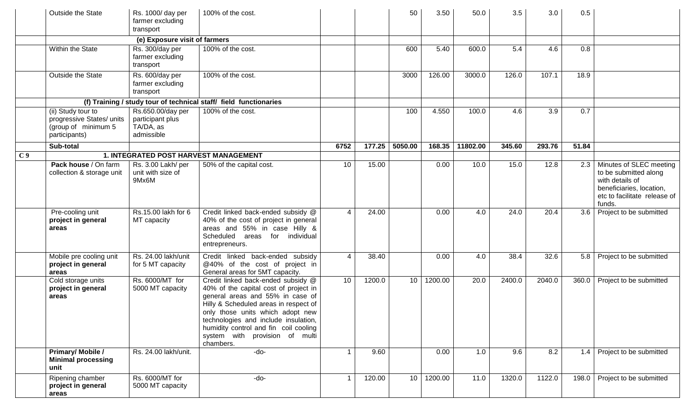|                | Outside the State                                                                       | Rs. 1000/ day per<br>farmer excluding<br>transport               | 100% of the cost.                                                                                                                                                                                                                                                                                                            |      |        | 50      | 3.50    | 50.0     | 3.5    | 3.0              | 0.5              |                                                                                                                                           |
|----------------|-----------------------------------------------------------------------------------------|------------------------------------------------------------------|------------------------------------------------------------------------------------------------------------------------------------------------------------------------------------------------------------------------------------------------------------------------------------------------------------------------------|------|--------|---------|---------|----------|--------|------------------|------------------|-------------------------------------------------------------------------------------------------------------------------------------------|
|                |                                                                                         | (e) Exposure visit of farmers                                    |                                                                                                                                                                                                                                                                                                                              |      |        |         |         |          |        |                  |                  |                                                                                                                                           |
|                | Within the State                                                                        | Rs. 300/day per<br>farmer excluding<br>transport                 | 100% of the cost.                                                                                                                                                                                                                                                                                                            |      |        | 600     | 5.40    | 600.0    | 5.4    | 4.6              | 0.8              |                                                                                                                                           |
|                | Outside the State                                                                       | Rs. 600/day per<br>farmer excluding<br>transport                 | 100% of the cost.                                                                                                                                                                                                                                                                                                            |      |        | 3000    | 126.00  | 3000.0   | 126.0  | 107.1            | 18.9             |                                                                                                                                           |
|                |                                                                                         |                                                                  | (f) Training / study tour of technical staff/ field functionaries                                                                                                                                                                                                                                                            |      |        |         |         |          |        |                  |                  |                                                                                                                                           |
|                | (ii) Study tour to<br>progressive States/ units<br>(group of minimum 5<br>participants) | Rs.650.00/day per<br>participant plus<br>TA/DA, as<br>admissible | 100% of the cost.                                                                                                                                                                                                                                                                                                            |      |        | 100     | 4.550   | 100.0    | 4.6    | $\overline{3.9}$ | $\overline{0.7}$ |                                                                                                                                           |
|                | Sub-total                                                                               |                                                                  |                                                                                                                                                                                                                                                                                                                              | 6752 | 177.25 | 5050.00 | 168.35  | 11802.00 | 345.60 | 293.76           | 51.84            |                                                                                                                                           |
| C <sub>9</sub> |                                                                                         | 1. INTEGRATED POST HARVEST MANAGEMENT                            |                                                                                                                                                                                                                                                                                                                              |      |        |         |         |          |        |                  |                  |                                                                                                                                           |
|                | Pack house / On farm<br>collection & storage unit                                       | Rs. 3.00 Lakh/ per<br>unit with size of<br>9Mx6M                 | 50% of the capital cost.                                                                                                                                                                                                                                                                                                     | 10   | 15.00  |         | 0.00    | 10.0     | 15.0   | 12.8             | 2.3              | Minutes of SLEC meeting<br>to be submitted along<br>with details of<br>beneficiaries, location,<br>etc to facilitate release of<br>funds. |
|                | Pre-cooling unit<br>project in general<br>areas                                         | Rs.15.00 lakh for 6<br>MT capacity                               | Credit linked back-ended subsidy @<br>40% of the cost of project in general<br>areas and 55% in case Hilly &<br>Scheduled areas for individual<br>entrepreneurs.                                                                                                                                                             | 4    | 24.00  |         | 0.00    | 4.0      | 24.0   | 20.4             | 3.6              | Project to be submitted                                                                                                                   |
|                | Mobile pre cooling unit<br>project in general<br>areas                                  | Rs. 24.00 lakh/unit<br>for 5 MT capacity                         | Credit linked back-ended subsidy<br>@40% of the cost of project in<br>General areas for 5MT capacity.                                                                                                                                                                                                                        | 4    | 38.40  |         | 0.00    | 4.0      | 38.4   | 32.6             |                  | 5.8   Project to be submitted                                                                                                             |
|                | Cold storage units<br>project in general<br>areas                                       | Rs. 6000/MT for<br>5000 MT capacity                              | Credit linked back-ended subsidy @<br>40% of the capital cost of project in<br>general areas and 55% in case of<br>Hilly & Scheduled areas in respect of<br>only those units which adopt new<br>technologies and include insulation,<br>humidity control and fin coil cooling<br>system with provision of multi<br>chambers. | 10   | 1200.0 | 10      | 1200.00 | 20.0     | 2400.0 | 2040.0           | 360.0            | Project to be submitted                                                                                                                   |
|                | <b>Primary/Mobile/</b><br><b>Minimal processing</b><br>unit                             | Rs. 24.00 lakh/unit.                                             | -do-                                                                                                                                                                                                                                                                                                                         |      | 9.60   |         | 0.00    | 1.0      | 9.6    | 8.2              | 1.4              | Project to be submitted                                                                                                                   |
|                | Ripening chamber<br>project in general<br>areas                                         | Rs. 6000/MT for<br>5000 MT capacity                              | -do-                                                                                                                                                                                                                                                                                                                         | -1   | 120.00 | 10      | 1200.00 | 11.0     | 1320.0 | 1122.0           | 198.0            | Project to be submitted                                                                                                                   |